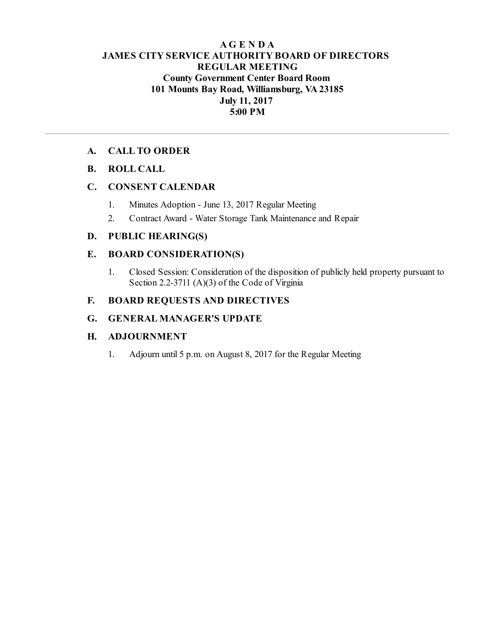## **AG E N D A JAMES CITY SERVICE AUTHORITY BOARD OF DIRECTORS REGULAR MEETING County Government Center Board Room 101 Mounts Bay Road, Williamsburg, VA23185 July 11, 2017 5:00 PM**

## **A. CALL TO ORDER**

## **B. ROLL CALL**

## **C. CONSENT CALENDAR**

- 1. Minutes Adoption June 13, 2017 Regular Meeting
- 2. Contract Award Water Storage Tank Maintenance and Repair

## **D. PUBLIC HEARING(S)**

## **E. BOARD CONSIDERATION(S)**

1. Closed Session: Consideration of the disposition of publicly held property pursuant to Section 2.2-3711 (A)(3) of the Code of Virginia

## **F. BOARD REQUESTS AND DIRECTIVES**

## **G. GENERAL MANAGER'S UPDATE**

## **H. ADJOURNMENT**

1. Adjourn until 5 p.m. on August 8, 2017 for the Regular Meeting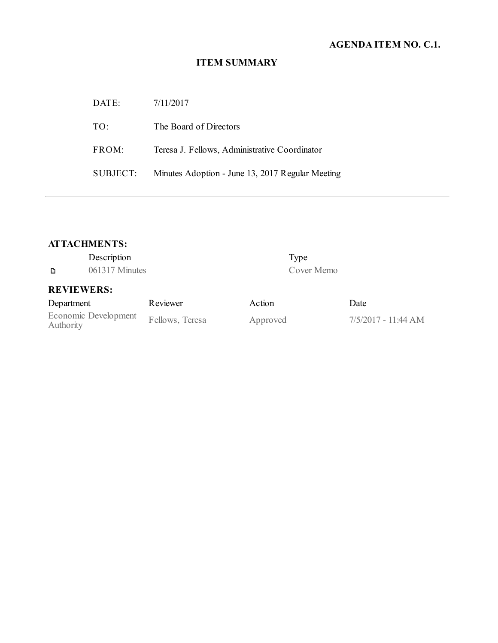# **AGENDA ITEM NO. C.1.**

# **ITEM SUMMARY**

| DATE:    | 7/11/2017                                        |
|----------|--------------------------------------------------|
| TO:      | The Board of Directors                           |
| FROM:    | Teresa J. Fellows, Administrative Coordinator    |
| SUBJECT: | Minutes Adoption - June 13, 2017 Regular Meeting |

# **ATTACHMENTS:**

| Description                       |                 | Type     |                     |
|-----------------------------------|-----------------|----------|---------------------|
| D                                 | 061317 Minutes  |          | Cover Memo          |
| <b>REVIEWERS:</b>                 |                 |          |                     |
| Department                        | Reviewer        | Action   | Date                |
| Economic Development<br>Authority | Fellows, Teresa | Approved | 7/5/2017 - 11:44 AM |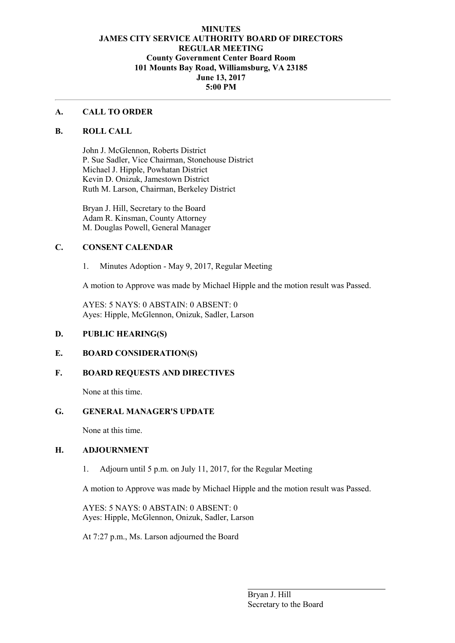## **MINUTES JAMES CITY SERVICE AUTHORITY BOARD OF DIRECTORS REGULAR MEETING County Government Center Board Room 101 Mounts Bay Road, Williamsburg, VA 23185 June 13, 2017 5:00 PM**

#### **A. CALL TO ORDER**

#### **B. ROLL CALL**

John J. McGlennon, Roberts District P. Sue Sadler, Vice Chairman, Stonehouse District Michael J. Hipple, Powhatan District Kevin D. Onizuk, Jamestown District Ruth M. Larson, Chairman, Berkeley District

Bryan J. Hill, Secretary to the Board Adam R. Kinsman, County Attorney M. Douglas Powell, General Manager

## **C. CONSENT CALENDAR**

1. Minutes Adoption - May 9, 2017, Regular Meeting

A motion to Approve was made by Michael Hipple and the motion result was Passed.

AYES: 5 NAYS: 0 ABSTAIN: 0 ABSENT: 0 Ayes: Hipple, McGlennon, Onizuk, Sadler, Larson

## **D. PUBLIC HEARING(S)**

### **E. BOARD CONSIDERATION(S)**

## **F. BOARD REQUESTS AND DIRECTIVES**

None at this time.

### **G. GENERAL MANAGER'S UPDATE**

None at this time.

### **H. ADJOURNMENT**

1. Adjourn until 5 p.m. on July 11, 2017, for the Regular Meeting

A motion to Approve was made by Michael Hipple and the motion result was Passed.

AYES: 5 NAYS: 0 ABSTAIN: 0 ABSENT: 0 Ayes: Hipple, McGlennon, Onizuk, Sadler, Larson

At 7:27 p.m., Ms. Larson adjourned the Board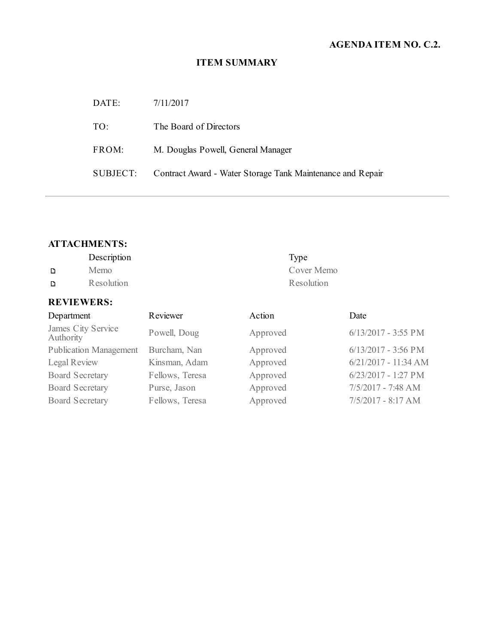# **AGENDA ITEM NO. C.2.**

# **ITEM SUMMARY**

| DATE:    | 7/11/2017                                                  |
|----------|------------------------------------------------------------|
| TO:      | The Board of Directors                                     |
| FROM:    | M. Douglas Powell, General Manager                         |
| SUBJECT: | Contract Award - Water Storage Tank Maintenance and Repair |

# **ATTACHMENTS:**

|   | Description | Type       |
|---|-------------|------------|
| D | Memo        | Cover Memo |
| D | Resolution  | Resolution |

# **REVIEWERS:**

| Department                      | Reviewer        | Action   | Date                   |
|---------------------------------|-----------------|----------|------------------------|
| James City Service<br>Authority | Powell, Doug    | Approved | $6/13/2017 - 3:55$ PM  |
| <b>Publication Management</b>   | Burcham, Nan    | Approved | $6/13/2017 - 3:56$ PM  |
| Legal Review                    | Kinsman, Adam   | Approved | $6/21/2017 - 11:34 AM$ |
| <b>Board Secretary</b>          | Fellows, Teresa | Approved | $6/23/2017 - 1:27$ PM  |
| <b>Board Secretary</b>          | Purse, Jason    | Approved | 7/5/2017 - 7:48 AM     |
| <b>Board Secretary</b>          | Fellows, Teresa | Approved | 7/5/2017 - 8:17 AM     |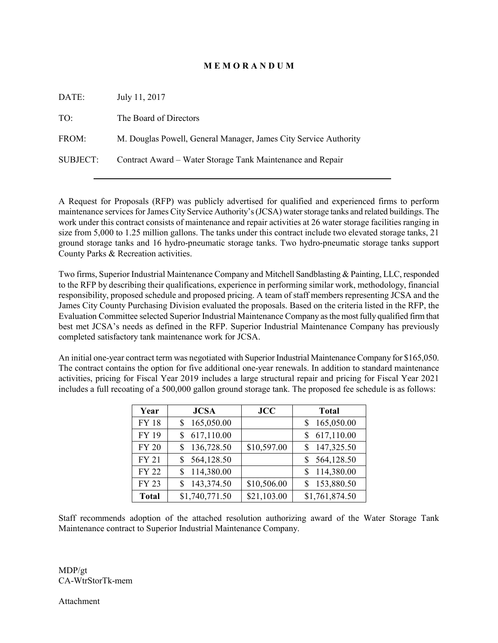#### **M E M O R A N D U M**

| DATE:           | July 11, 2017                                                    |
|-----------------|------------------------------------------------------------------|
| TO:             | The Board of Directors                                           |
| FROM:           | M. Douglas Powell, General Manager, James City Service Authority |
| <b>SUBJECT:</b> | Contract Award – Water Storage Tank Maintenance and Repair       |
|                 |                                                                  |

A Request for Proposals (RFP) was publicly advertised for qualified and experienced firms to perform maintenance services for James City Service Authority's (JCSA) water storage tanks and related buildings. The work under this contract consists of maintenance and repair activities at 26 water storage facilities ranging in size from 5,000 to 1.25 million gallons. The tanks under this contract include two elevated storage tanks, 21 ground storage tanks and 16 hydro-pneumatic storage tanks. Two hydro-pneumatic storage tanks support County Parks & Recreation activities.

Two firms, Superior Industrial Maintenance Company and Mitchell Sandblasting & Painting, LLC, responded to the RFP by describing their qualifications, experience in performing similar work, methodology, financial responsibility, proposed schedule and proposed pricing. A team of staff members representing JCSA and the James City County Purchasing Division evaluated the proposals. Based on the criteria listed in the RFP, the Evaluation Committee selected Superior Industrial Maintenance Company as the most fully qualified firm that best met JCSA's needs as defined in the RFP. Superior Industrial Maintenance Company has previously completed satisfactory tank maintenance work for JCSA.

An initial one-year contract term was negotiated with Superior Industrial Maintenance Company for \$165,050. The contract contains the option for five additional one-year renewals. In addition to standard maintenance activities, pricing for Fiscal Year 2019 includes a large structural repair and pricing for Fiscal Year 2021 includes a full recoating of a 500,000 gallon ground storage tank. The proposed fee schedule is as follows:

| Year         | <b>JCSA</b>      | <b>JCC</b>  | <b>Total</b>    |
|--------------|------------------|-------------|-----------------|
| <b>FY 18</b> | 165,050.00<br>S  |             | 165,050.00      |
| <b>FY 19</b> | 617,110.00<br>\$ |             | 617,110.00      |
| <b>FY 20</b> | 136,728.50<br>S  | \$10,597.00 | 147,325.50      |
| <b>FY 21</b> | 564,128.50<br>S  |             | 564,128.50<br>S |
| <b>FY 22</b> | 114,380.00<br>S  |             | 114,380.00      |
| <b>FY 23</b> | 143,374.50<br>S  | \$10,506.00 | 153,880.50      |
| <b>Total</b> | \$1,740,771.50   | \$21,103.00 | \$1,761,874.50  |

Staff recommends adoption of the attached resolution authorizing award of the Water Storage Tank Maintenance contract to Superior Industrial Maintenance Company.

MDP/gt CA-WtrStorTk-mem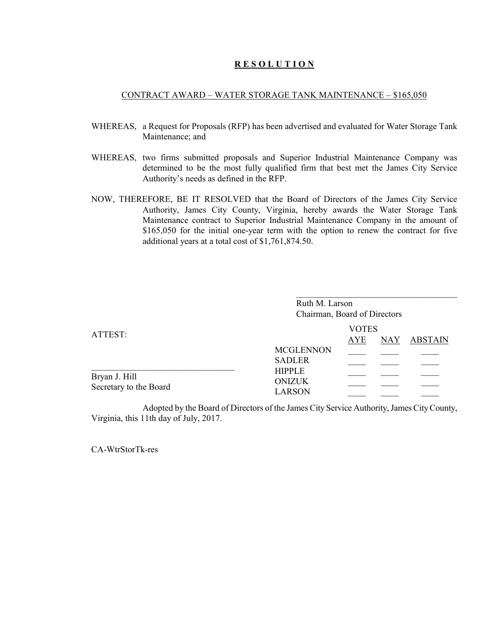#### **R E S O L U T I O N**

#### CONTRACT AWARD – WATER STORAGE TANK MAINTENANCE – \$165,050

- WHEREAS, a Request for Proposals (RFP) has been advertised and evaluated for Water Storage Tank Maintenance; and
- WHEREAS, two firms submitted proposals and Superior Industrial Maintenance Company was determined to be the most fully qualified firm that best met the James City Service Authority's needs as defined in the RFP.
- NOW, THEREFORE, BE IT RESOLVED that the Board of Directors of the James City Service Authority, James City County, Virginia, hereby awards the Water Storage Tank Maintenance contract to Superior Industrial Maintenance Company in the amount of \$165,050 for the initial one-year term with the option to renew the contract for five additional years at a total cost of \$1,761,874.50.

|                                         | Ruth M. Larson<br>Chairman, Board of Directors  |                            |            |                |
|-----------------------------------------|-------------------------------------------------|----------------------------|------------|----------------|
| ATTEST:                                 |                                                 | <b>VOTES</b><br><b>AYE</b> | <b>NAY</b> | <b>ABSTAIN</b> |
|                                         | <b>MCGLENNON</b><br><b>SADLER</b>               |                            |            |                |
| Bryan J. Hill<br>Secretary to the Board | <b>HIPPLE</b><br><b>ONIZUK</b><br><b>LARSON</b> |                            |            |                |

Adopted by the Board of Directors of the James City Service Authority, James City County, Virginia, this 11th day of July, 2017.

CA-WtrStorTk-res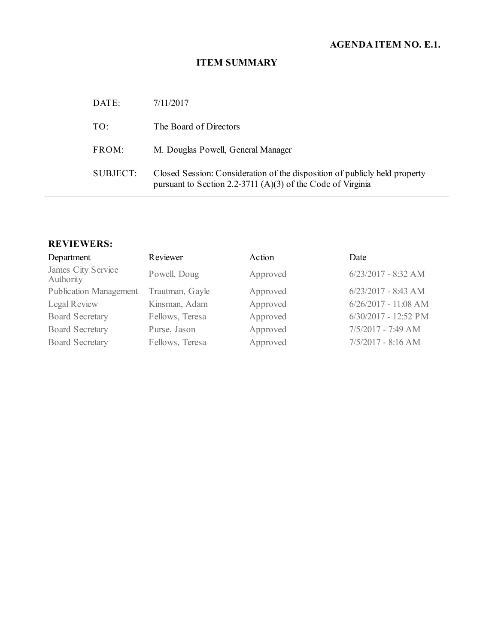# **AGENDA ITEM NO. E.1.**

# **ITEM SUMMARY**

| DATE:    | 7/11/2017                                                                                                                                 |
|----------|-------------------------------------------------------------------------------------------------------------------------------------------|
| TO:      | The Board of Directors                                                                                                                    |
| FROM:    | M. Douglas Powell, General Manager                                                                                                        |
| SUBJECT: | Closed Session: Consideration of the disposition of publicly held property<br>pursuant to Section 2.2-3711 (A)(3) of the Code of Virginia |

## **REVIEWERS:**

| Department                      | Reviewer        | Action   | Date                   |
|---------------------------------|-----------------|----------|------------------------|
| James City Service<br>Authority | Powell, Doug    | Approved | $6/23/2017 - 8:32$ AM  |
| <b>Publication Management</b>   | Trautman, Gayle | Approved | $6/23/2017 - 8:43$ AM  |
| Legal Review                    | Kinsman, Adam   | Approved | $6/26/2017 - 11:08$ AM |
| <b>Board Secretary</b>          | Fellows, Teresa | Approved | 6/30/2017 - 12:52 PM   |
| <b>Board Secretary</b>          | Purse, Jason    | Approved | 7/5/2017 - 7:49 AM     |
| <b>Board Secretary</b>          | Fellows, Teresa | Approved | $7/5/2017 - 8:16 AM$   |